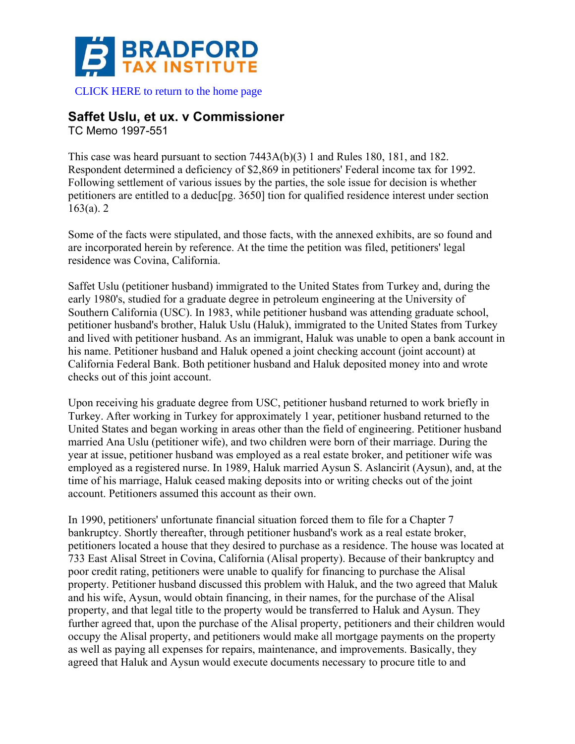

[CLICK HERE to return to the home page](https://bradfordtaxinstitute.com) 

## **Saffet Uslu, et ux. v Commissioner**

TC Memo 1997-551

This case was heard pursuant to section 7443A(b)(3) 1 and Rules 180, 181, and 182. Respondent determined a deficiency of \$2,869 in petitioners' Federal income tax for 1992. Following settlement of various issues by the parties, the sole issue for decision is whether petitioners are entitled to a deduc[pg. 3650] tion for qualified residence interest under section 163(a). 2

Some of the facts were stipulated, and those facts, with the annexed exhibits, are so found and are incorporated herein by reference. At the time the petition was filed, petitioners' legal residence was Covina, California.

Saffet Uslu (petitioner husband) immigrated to the United States from Turkey and, during the early 1980's, studied for a graduate degree in petroleum engineering at the University of Southern California (USC). In 1983, while petitioner husband was attending graduate school, petitioner husband's brother, Haluk Uslu (Haluk), immigrated to the United States from Turkey and lived with petitioner husband. As an immigrant, Haluk was unable to open a bank account in his name. Petitioner husband and Haluk opened a joint checking account (joint account) at California Federal Bank. Both petitioner husband and Haluk deposited money into and wrote checks out of this joint account.

Upon receiving his graduate degree from USC, petitioner husband returned to work briefly in Turkey. After working in Turkey for approximately 1 year, petitioner husband returned to the United States and began working in areas other than the field of engineering. Petitioner husband married Ana Uslu (petitioner wife), and two children were born of their marriage. During the year at issue, petitioner husband was employed as a real estate broker, and petitioner wife was employed as a registered nurse. In 1989, Haluk married Aysun S. Aslancirit (Aysun), and, at the time of his marriage, Haluk ceased making deposits into or writing checks out of the joint account. Petitioners assumed this account as their own.

In 1990, petitioners' unfortunate financial situation forced them to file for a Chapter 7 bankruptcy. Shortly thereafter, through petitioner husband's work as a real estate broker, petitioners located a house that they desired to purchase as a residence. The house was located at 733 East Alisal Street in Covina, California (Alisal property). Because of their bankruptcy and poor credit rating, petitioners were unable to qualify for financing to purchase the Alisal property. Petitioner husband discussed this problem with Haluk, and the two agreed that Maluk and his wife, Aysun, would obtain financing, in their names, for the purchase of the Alisal property, and that legal title to the property would be transferred to Haluk and Aysun. They further agreed that, upon the purchase of the Alisal property, petitioners and their children would occupy the Alisal property, and petitioners would make all mortgage payments on the property as well as paying all expenses for repairs, maintenance, and improvements. Basically, they agreed that Haluk and Aysun would execute documents necessary to procure title to and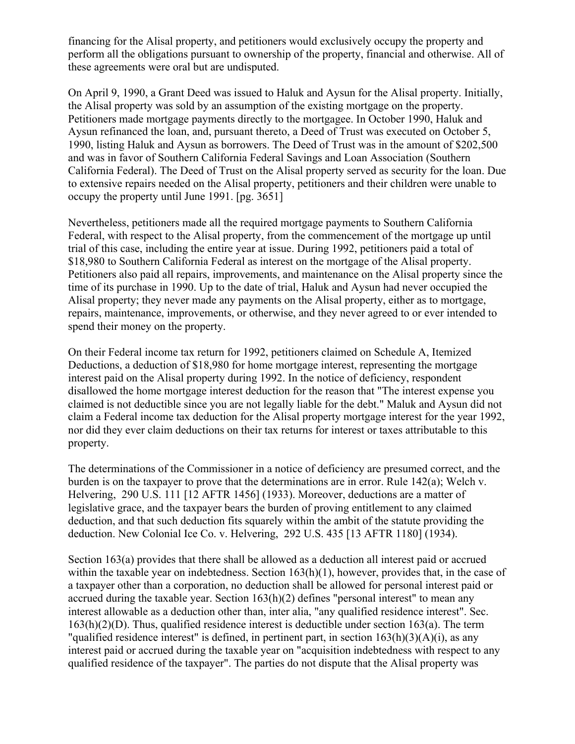financing for the Alisal property, and petitioners would exclusively occupy the property and perform all the obligations pursuant to ownership of the property, financial and otherwise. All of these agreements were oral but are undisputed.

On April 9, 1990, a Grant Deed was issued to Haluk and Aysun for the Alisal property. Initially, the Alisal property was sold by an assumption of the existing mortgage on the property. Petitioners made mortgage payments directly to the mortgagee. In October 1990, Haluk and Aysun refinanced the loan, and, pursuant thereto, a Deed of Trust was executed on October 5, 1990, listing Haluk and Aysun as borrowers. The Deed of Trust was in the amount of \$202,500 and was in favor of Southern California Federal Savings and Loan Association (Southern California Federal). The Deed of Trust on the Alisal property served as security for the loan. Due to extensive repairs needed on the Alisal property, petitioners and their children were unable to occupy the property until June 1991. [pg. 3651]

Nevertheless, petitioners made all the required mortgage payments to Southern California Federal, with respect to the Alisal property, from the commencement of the mortgage up until trial of this case, including the entire year at issue. During 1992, petitioners paid a total of \$18,980 to Southern California Federal as interest on the mortgage of the Alisal property. Petitioners also paid all repairs, improvements, and maintenance on the Alisal property since the time of its purchase in 1990. Up to the date of trial, Haluk and Aysun had never occupied the Alisal property; they never made any payments on the Alisal property, either as to mortgage, repairs, maintenance, improvements, or otherwise, and they never agreed to or ever intended to spend their money on the property.

On their Federal income tax return for 1992, petitioners claimed on Schedule A, Itemized Deductions, a deduction of \$18,980 for home mortgage interest, representing the mortgage interest paid on the Alisal property during 1992. In the notice of deficiency, respondent disallowed the home mortgage interest deduction for the reason that "The interest expense you claimed is not deductible since you are not legally liable for the debt." Maluk and Aysun did not claim a Federal income tax deduction for the Alisal property mortgage interest for the year 1992, nor did they ever claim deductions on their tax returns for interest or taxes attributable to this property.

The determinations of the Commissioner in a notice of deficiency are presumed correct, and the burden is on the taxpayer to prove that the determinations are in error. Rule 142(a); Welch v. Helvering, 290 U.S. 111 [12 AFTR 1456] (1933). Moreover, deductions are a matter of legislative grace, and the taxpayer bears the burden of proving entitlement to any claimed deduction, and that such deduction fits squarely within the ambit of the statute providing the deduction. New Colonial Ice Co. v. Helvering, 292 U.S. 435 [13 AFTR 1180] (1934).

Section 163(a) provides that there shall be allowed as a deduction all interest paid or accrued within the taxable year on indebtedness. Section 163(h)(1), however, provides that, in the case of a taxpayer other than a corporation, no deduction shall be allowed for personal interest paid or accrued during the taxable year. Section  $163(h)(2)$  defines "personal interest" to mean any interest allowable as a deduction other than, inter alia, "any qualified residence interest". Sec. 163(h)(2)(D). Thus, qualified residence interest is deductible under section 163(a). The term "qualified residence interest" is defined, in pertinent part, in section  $163(h)(3)(A)(i)$ , as any interest paid or accrued during the taxable year on "acquisition indebtedness with respect to any qualified residence of the taxpayer". The parties do not dispute that the Alisal property was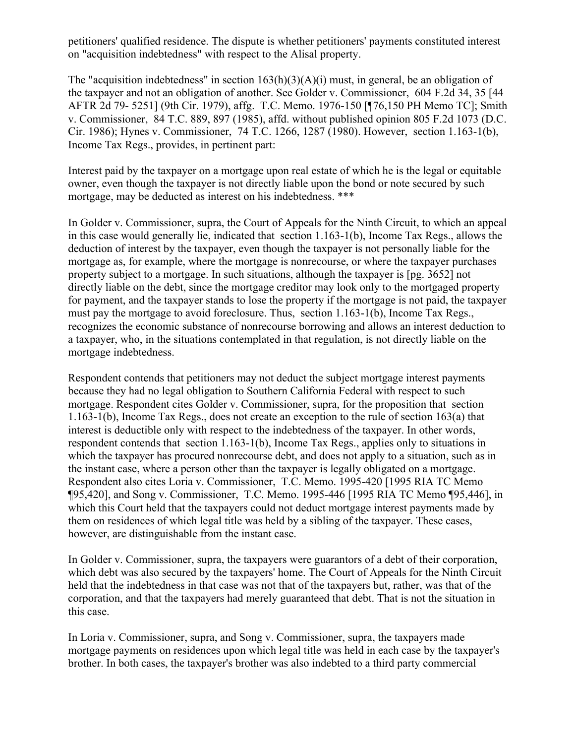petitioners' qualified residence. The dispute is whether petitioners' payments constituted interest on "acquisition indebtedness" with respect to the Alisal property.

The "acquisition indebtedness" in section 163(h)(3)(A)(i) must, in general, be an obligation of the taxpayer and not an obligation of another. See Golder v. Commissioner, 604 F.2d 34, 35 [44 AFTR 2d 79- 5251] (9th Cir. 1979), affg. T.C. Memo. 1976-150 [¶76,150 PH Memo TC]; Smith v. Commissioner, 84 T.C. 889, 897 (1985), affd. without published opinion 805 F.2d 1073 (D.C. Cir. 1986); Hynes v. Commissioner, 74 T.C. 1266, 1287 (1980). However, section 1.163-1(b), Income Tax Regs., provides, in pertinent part:

Interest paid by the taxpayer on a mortgage upon real estate of which he is the legal or equitable owner, even though the taxpayer is not directly liable upon the bond or note secured by such mortgage, may be deducted as interest on his indebtedness. \*\*\*

In Golder v. Commissioner, supra, the Court of Appeals for the Ninth Circuit, to which an appeal in this case would generally lie, indicated that section 1.163-1(b), Income Tax Regs., allows the deduction of interest by the taxpayer, even though the taxpayer is not personally liable for the mortgage as, for example, where the mortgage is nonrecourse, or where the taxpayer purchases property subject to a mortgage. In such situations, although the taxpayer is [pg. 3652] not directly liable on the debt, since the mortgage creditor may look only to the mortgaged property for payment, and the taxpayer stands to lose the property if the mortgage is not paid, the taxpayer must pay the mortgage to avoid foreclosure. Thus, section 1.163-1(b), Income Tax Regs., recognizes the economic substance of nonrecourse borrowing and allows an interest deduction to a taxpayer, who, in the situations contemplated in that regulation, is not directly liable on the mortgage indebtedness.

Respondent contends that petitioners may not deduct the subject mortgage interest payments because they had no legal obligation to Southern California Federal with respect to such mortgage. Respondent cites Golder v. Commissioner, supra, for the proposition that section 1.163-1(b), Income Tax Regs., does not create an exception to the rule of section 163(a) that interest is deductible only with respect to the indebtedness of the taxpayer. In other words, respondent contends that section 1.163-1(b), Income Tax Regs., applies only to situations in which the taxpayer has procured nonrecourse debt, and does not apply to a situation, such as in the instant case, where a person other than the taxpayer is legally obligated on a mortgage. Respondent also cites Loria v. Commissioner, T.C. Memo. 1995-420 [1995 RIA TC Memo ¶95,420], and Song v. Commissioner, T.C. Memo. 1995-446 [1995 RIA TC Memo ¶95,446], in which this Court held that the taxpayers could not deduct mortgage interest payments made by them on residences of which legal title was held by a sibling of the taxpayer. These cases, however, are distinguishable from the instant case.

In Golder v. Commissioner, supra, the taxpayers were guarantors of a debt of their corporation, which debt was also secured by the taxpayers' home. The Court of Appeals for the Ninth Circuit held that the indebtedness in that case was not that of the taxpayers but, rather, was that of the corporation, and that the taxpayers had merely guaranteed that debt. That is not the situation in this case.

In Loria v. Commissioner, supra, and Song v. Commissioner, supra, the taxpayers made mortgage payments on residences upon which legal title was held in each case by the taxpayer's brother. In both cases, the taxpayer's brother was also indebted to a third party commercial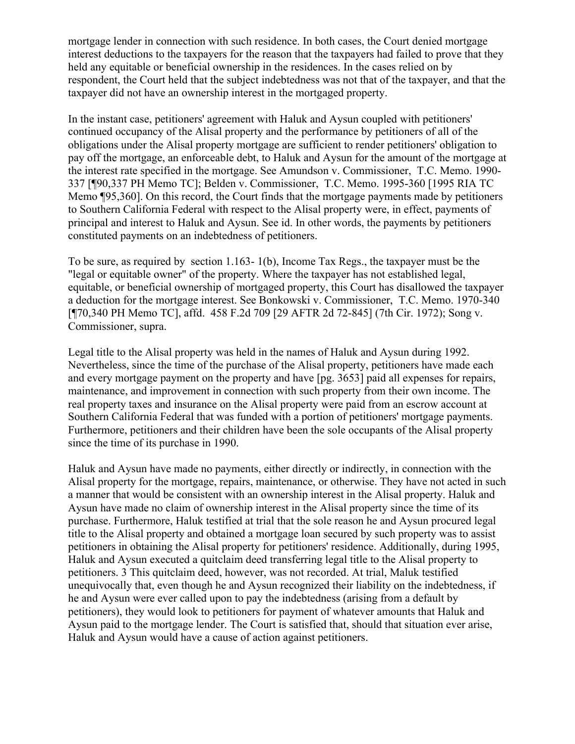mortgage lender in connection with such residence. In both cases, the Court denied mortgage interest deductions to the taxpayers for the reason that the taxpayers had failed to prove that they held any equitable or beneficial ownership in the residences. In the cases relied on by respondent, the Court held that the subject indebtedness was not that of the taxpayer, and that the taxpayer did not have an ownership interest in the mortgaged property.

In the instant case, petitioners' agreement with Haluk and Aysun coupled with petitioners' continued occupancy of the Alisal property and the performance by petitioners of all of the obligations under the Alisal property mortgage are sufficient to render petitioners' obligation to pay off the mortgage, an enforceable debt, to Haluk and Aysun for the amount of the mortgage at the interest rate specified in the mortgage. See Amundson v. Commissioner, T.C. Memo. 1990- 337 [¶90,337 PH Memo TC]; Belden v. Commissioner, T.C. Memo. 1995-360 [1995 RIA TC Memo ¶95,360]. On this record, the Court finds that the mortgage payments made by petitioners to Southern California Federal with respect to the Alisal property were, in effect, payments of principal and interest to Haluk and Aysun. See id. In other words, the payments by petitioners constituted payments on an indebtedness of petitioners.

To be sure, as required by section 1.163- 1(b), Income Tax Regs., the taxpayer must be the "legal or equitable owner" of the property. Where the taxpayer has not established legal, equitable, or beneficial ownership of mortgaged property, this Court has disallowed the taxpayer a deduction for the mortgage interest. See Bonkowski v. Commissioner, T.C. Memo. 1970-340 [¶70,340 PH Memo TC], affd. 458 F.2d 709 [29 AFTR 2d 72-845] (7th Cir. 1972); Song v. Commissioner, supra.

Legal title to the Alisal property was held in the names of Haluk and Aysun during 1992. Nevertheless, since the time of the purchase of the Alisal property, petitioners have made each and every mortgage payment on the property and have [pg. 3653] paid all expenses for repairs, maintenance, and improvement in connection with such property from their own income. The real property taxes and insurance on the Alisal property were paid from an escrow account at Southern California Federal that was funded with a portion of petitioners' mortgage payments. Furthermore, petitioners and their children have been the sole occupants of the Alisal property since the time of its purchase in 1990.

Haluk and Aysun have made no payments, either directly or indirectly, in connection with the Alisal property for the mortgage, repairs, maintenance, or otherwise. They have not acted in such a manner that would be consistent with an ownership interest in the Alisal property. Haluk and Aysun have made no claim of ownership interest in the Alisal property since the time of its purchase. Furthermore, Haluk testified at trial that the sole reason he and Aysun procured legal title to the Alisal property and obtained a mortgage loan secured by such property was to assist petitioners in obtaining the Alisal property for petitioners' residence. Additionally, during 1995, Haluk and Aysun executed a quitclaim deed transferring legal title to the Alisal property to petitioners. 3 This quitclaim deed, however, was not recorded. At trial, Maluk testified unequivocally that, even though he and Aysun recognized their liability on the indebtedness, if he and Aysun were ever called upon to pay the indebtedness (arising from a default by petitioners), they would look to petitioners for payment of whatever amounts that Haluk and Aysun paid to the mortgage lender. The Court is satisfied that, should that situation ever arise, Haluk and Aysun would have a cause of action against petitioners.